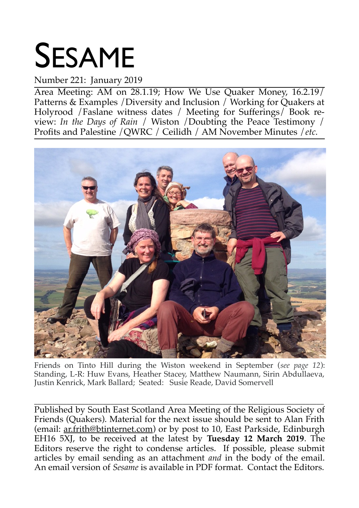# SESAME

### Number 221: January 2019

Area Meeting: AM on 28.1.19; How We Use Quaker Money, 16.2.19/ Patterns & Examples / Diversity and Inclusion / Working for Quakers at Holyrood /Faslane witness dates / Meeting for Sufferings/ Book review: *In the Days of Rain* / Wiston /Doubting the Peace Testimony / Profits and Palestine /QWRC / Ceilidh / AM November Minutes /*etc.*



Friends on Tinto Hill during the Wiston weekend in September (*see page 12*): Standing, L-R: Huw Evans, Heather Stacey, Matthew Naumann, Sirin Abdullaeva, Justin Kenrick, Mark Ballard; Seated: Susie Reade, David Somervell

\_\_\_\_\_\_\_\_\_\_\_\_\_\_\_\_\_\_\_\_\_\_\_\_\_\_\_\_\_\_\_\_\_\_\_\_\_\_\_\_\_\_\_\_\_\_\_\_\_\_\_\_\_\_\_\_\_\_\_\_\_\_\_\_\_\_\_\_\_\_\_\_\_\_\_\_\_\_\_\_ Published by South East Scotland Area Meeting of the Religious Society of Friends (Quakers). Material for the next issue should be sent to Alan Frith (email: ar.frith@btinternet.com) or by post to 10, East Parkside, Edinburgh EH16 5XJ, to be received at the latest by **Tuesday 12 March 2019**. The Editors reserve the right to condense articles. If possible, please submit articles by email sending as an attachment *and* in the body of the email. An email version of *Sesame* is available in PDF format. Contact the Editors.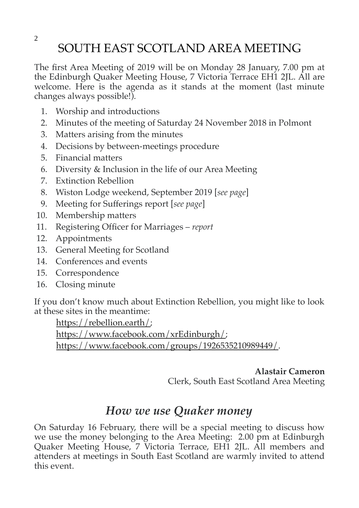### SOUTH EAST SCOTLAND AREA MEETING

The first Area Meeting of 2019 will be on Monday 28 January, 7.00 pm at the Edinburgh Quaker Meeting House, 7 Victoria Terrace EH1 2JL. All are welcome. Here is the agenda as it stands at the moment (last minute changes always possible!).

- 1. Worship and introductions
- 2. Minutes of the meeting of Saturday 24 November 2018 in Polmont
- 3. Matters arising from the minutes
- 4. Decisions by between-meetings procedure
- 5. Financial matters
- 6. Diversity & Inclusion in the life of our Area Meeting
- 7. Extinction Rebellion
- 8. Wiston Lodge weekend, September 2019 [*see page*]
- 9. Meeting for Sufferings report [*see page*]
- 10. Membership matters
- 11. Registering Officer for Marriages *report*
- 12. Appointments
- 13. General Meeting for Scotland
- 14. Conferences and events
- 15. Correspondence
- 16. Closing minute

If you don't know much about Extinction Rebellion, you might like to look at these sites in the meantime:

 [https://rebellion.earth/;](https://rebellion.earth/) [https://www.facebook.com/xrEdinburgh/;](https://www.facebook.com/xrEdinburgh/) [https://www.facebook.com/groups/1926535210989449/.](https://www.facebook.com/groups/1926535210989449/)

> **Alastair Cameron** Clerk, South East Scotland Area Meeting

### *How we use Quaker money*

On Saturday 16 February, there will be a special meeting to discuss how we use the money belonging to the Area Meeting: 2.00 pm at Edinburgh Quaker Meeting House, 7 Victoria Terrace, EH1 2JL. All members and attenders at meetings in South East Scotland are warmly invited to attend this event.

2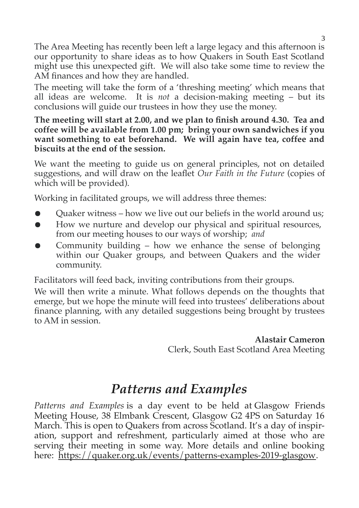The Area Meeting has recently been left a large legacy and this afternoon is our opportunity to share ideas as to how Quakers in South East Scotland might use this unexpected gift. We will also take some time to review the AM finances and how they are handled.

The meeting will take the form of a 'threshing meeting' which means that all ideas are welcome. It is *not* a decision-making meeting – but its conclusions will guide our trustees in how they use the money.

**The meeting will start at 2.00, and we plan to finish around 4.30. Tea and coffee will be available from 1.00 pm; bring your own sandwiches if you want something to eat beforehand. We will again have tea, coffee and biscuits at the end of the session.**

We want the meeting to guide us on general principles, not on detailed suggestions, and will draw on the leaflet *Our Faith in the Future* (copies of which will be provided).

Working in facilitated groups, we will address three themes:

- Quaker witness how we live out our beliefs in the world around us;
- How we nurture and develop our physical and spiritual resources, from our meeting houses to our ways of worship; *and*
- Community building  $-$  how we enhance the sense of belonging within our Quaker groups, and between Quakers and the wider community.

Facilitators will feed back, inviting contributions from their groups.

We will then write a minute. What follows depends on the thoughts that emerge, but we hope the minute will feed into trustees' deliberations about finance planning, with any detailed suggestions being brought by trustees to AM in session.

> **Alastair Cameron** Clerk, South East Scotland Area Meeting

### *Patterns and Examples*

*Patterns and Examples* is a day event to be held at Glasgow Friends Meeting House, 38 Elmbank Crescent, Glasgow G2 4PS on Saturday 16 March. This is open to Quakers from across Scotland. It's a day of inspiration, support and refreshment, particularly aimed at those who are serving their meeting in some way. More details and online booking here: [https://quaker.org.uk/events/patterns-examples-2019-glasgow.](https://quaker.org.uk/events/patterns-examples-2019-glasgow)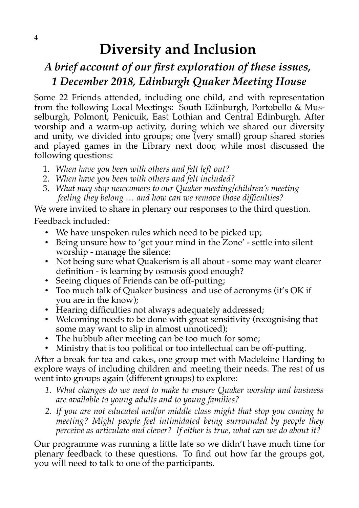### **Diversity and Inclusion**

### *A brief account of our first exploration of these issues, 1 December 2018, Edinburgh Quaker Meeting House*

Some 22 Friends attended, including one child, and with representation from the following Local Meetings: South Edinburgh, Portobello & Musselburgh, Polmont, Penicuik, East Lothian and Central Edinburgh. After worship and a warm-up activity, during which we shared our diversity and unity, we divided into groups; one (very small) group shared stories and played games in the Library next door, while most discussed the following questions:

- 1. *When have you been with others and felt left out?*
- 2. *When have you been with others and felt included?*
- 3. *What may stop newcomers to our Quaker meeting/children's meeting feeling they belong … and how can we remove those difficulties?*

We were invited to share in plenary our responses to the third question.

Feedback included:

- We have unspoken rules which need to be picked up;
- Being unsure how to 'get your mind in the Zone' settle into silent worship - manage the silence;
- Not being sure what Quakerism is all about some may want clearer definition - is learning by osmosis good enough?
- Seeing cliques of Friends can be off-putting;
- Too much talk of Quaker business and use of acronyms (it's OK if you are in the know);
- Hearing difficulties not always adequately addressed;
- Welcoming needs to be done with great sensitivity (recognising that some may want to slip in almost unnoticed);
- The hubbub after meeting can be too much for some;
- Ministry that is too political or too intellectual can be off-putting.

After a break for tea and cakes, one group met with Madeleine Harding to explore ways of including children and meeting their needs. The rest of us went into groups again (different groups) to explore:

- *1. What changes do we need to make to ensure Quaker worship and business are available to young adults and to young families?*
- *2. If you are not educated and/or middle class might that stop you coming to meeting? Might people feel intimidated being surrounded by people they perceive as articulate and clever? If either is true, what can we do about it?*

Our programme was running a little late so we didn't have much time for plenary feedback to these questions. To find out how far the groups got, you will need to talk to one of the participants.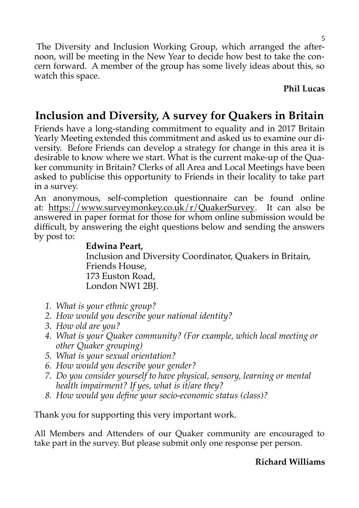The Diversity and Inclusion Working Group, which arranged the afternoon, will be meeting in the New Year to decide how best to take the concern forward. A member of the group has some lively ideas about this, so watch this space.

**Phil Lucas**

### **Inclusion and Diversity, A survey for Quakers in Britain**

Friends have a long-standing commitment to equality and in 2017 Britain Yearly Meeting extended this commitment and asked us to examine our diversity. Before Friends can develop a strategy for change in this area it is desirable to know where we start. What is the current make-up of the Quaker community in Britain? Clerks of all Area and Local Meetings have been asked to publicise this opportunity to Friends in their locality to take part in a survey.

An anonymous, self-completion questionnaire can be found online at: [https://www.surveymonkey.co.uk/r/QuakerSurvey.](https://www.surveymonkey.co.uk/r/QuakerSurvey) It can also be answered in paper format for those for whom online submission would be difficult, by answering the eight questions below and sending the answers by post to:

### **Edwina Peart,**

 Inclusion and Diversity Coordinator, Quakers in Britain, Friends House, 173 Euston Road, London NW1 2BJ.

- *1. What is your ethnic group?*
- *2. How would you describe your national identity?*
- *3. How old are you?*
- *4. What is your Quaker community? (For example, which local meeting or other Quaker grouping)*
- *5. What is your sexual orientation?*
- *6. How would you describe your gender?*
- *7. Do you consider yourself to have physical, sensory, learning or mental health impairment? If yes, what is it/are they?*
- *8. How would you define your socio-economic status (class)?*

Thank you for supporting this very important work.

All Members and Attenders of our Quaker community are encouraged to take part in the survey. But please submit only one response per person.

### **Richard Williams**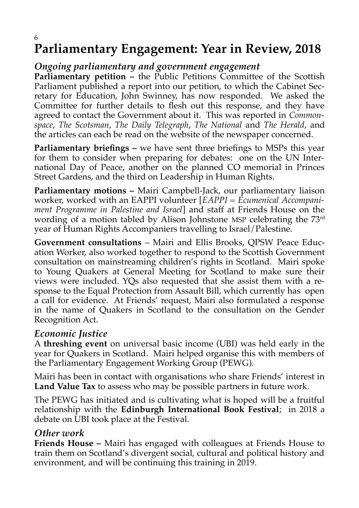### 6 **Parliamentary Engagement: Year in Review, 2018**

### *Ongoing parliamentary and government engagement*

Parliamentary petition - the Public Petitions Committee of the Scottish Parliament published a report into our petition, to which the Cabinet Secretary for Education, John Swinney, has now responded. We asked the Committee for further details to flesh out this response, and they have agreed to contact the Government about it. This was reported in *Commonspace*, *The Scotsman*, *The Daily Telegraph*, *The National* and *The Herald*, and the articles can each be read on the website of the newspaper concerned.

**Parliamentary briefings –** we have sent three briefings to MSPs this year for them to consider when preparing for debates: one on the UN International Day of Peace, another on the planned CO memorial in Princes Street Gardens, and the third on Leadership in Human Rights.

**Parliamentary motions –** Mairi Campbell-Jack, our parliamentary liaison worker, worked with an EAPPI volunteer [*EAPPI = Ecumenical Accompaniment Programme in Palestine and Israel*] and staff at Friends House on the wording of a motion tabled by Alison Johnstone MSP celebrating the 73<sup>rd</sup> year of Human Rights Accompaniers travelling to Israel/Palestine.

**Government consultations** – Mairi and Ellis Brooks, QPSW Peace Education Worker, also worked together to respond to the Scottish Government consultation on mainstreaming children's rights in Scotland. Mairi spoke to Young Quakers at General Meeting for Scotland to make sure their views were included. YQs also requested that she assist them with a response to the Equal Protection from Assault Bill, which currently has open a call for evidence. At Friends' request, Mairi also formulated a response in the name of Quakers in Scotland to the consultation on the Gender Recognition Act.

### *Economic Justice*

A **threshing event** on universal basic income (UBI) was held early in the year for Quakers in Scotland. Mairi helped organise this with members of the Parliamentary Engagement Working Group (PEWG).

Mairi has been in contact with organisations who share Friends' interest in **Land Value Tax** to assess who may be possible partners in future work.

The PEWG has initiated and is cultivating what is hoped will be a fruitful relationship with the **Edinburgh International Book Festival**; in 2018 a debate on UBI took place at the Festival.

### *Other work*

**Friends House –** Mairi has engaged with colleagues at Friends House to train them on Scotland's divergent social, cultural and political history and environment, and will be continuing this training in 2019.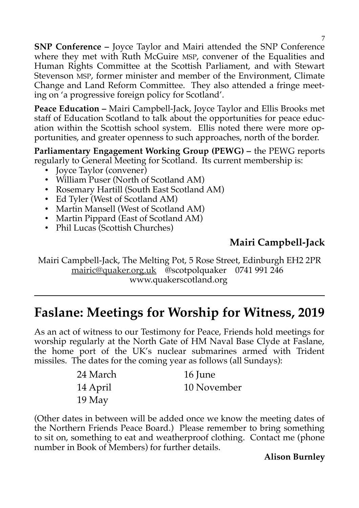**SNP Conference –** Joyce Taylor and Mairi attended the SNP Conference where they met with Ruth McGuire MSP, convener of the Equalities and Human Rights Committee at the Scottish Parliament, and with Stewart Stevenson MSP, former minister and member of the Environment, Climate Change and Land Reform Committee. They also attended a fringe meeting on 'a progressive foreign policy for Scotland'.

**Peace Education –** Mairi Campbell-Jack, Joyce Taylor and Ellis Brooks met staff of Education Scotland to talk about the opportunities for peace education within the Scottish school system. Ellis noted there were more opportunities, and greater openness to such approaches, north of the border.

**Parliamentary Engagement Working Group (PEWG) –** the PEWG reports regularly to General Meeting for Scotland. Its current membership is:

- Joyce Taylor (convener)
- William Puser (North of Scotland AM)
- Rosemary Hartill (South East Scotland AM)
- Ed Tyler (West of Scotland AM)
- Martin Mansell (West of Scotland AM)
- Martin Pippard (East of Scotland AM)
- Phil Lucas (Scottish Churches)

### **Mairi Campbell-Jack**

Mairi Campbell-Jack, The Melting Pot, 5 Rose Street, Edinburgh EH2 2PR [mairic@quaker.org.uk](mailto:mairic@quaker.org.uk) @scotpolquaker 0741 991 246 www.quakerscotland.org

### **Faslane: Meetings for Worship for Witness, 2019**

As an act of witness to our Testimony for Peace, Friends hold meetings for worship regularly at the North Gate of HM Naval Base Clyde at Faslane, the home port of the UK's nuclear submarines armed with Trident missiles. The dates for the coming year as follows (all Sundays):

| 24 March | 16 June     |
|----------|-------------|
| 14 April | 10 November |
| $19$ May |             |

(Other dates in between will be added once we know the meeting dates of the Northern Friends Peace Board.) Please remember to bring something to sit on, something to eat and weatherproof clothing. Contact me (phone number in Book of Members) for further details.

### **Alison Burnley**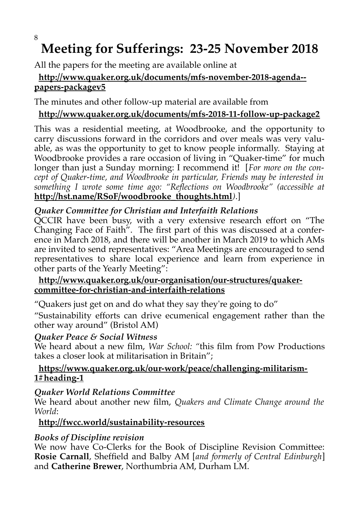#### 8

### **Meeting for Sufferings: 23-25 November 2018**

All the papers for the meeting are available online at

### **http://www.quaker.org.uk/documents/mfs-november-2018-agenda- papers-packagev5**

The minutes and other follow-up material are available from

### **http://www.quaker.org.uk/documents/mfs-2018-11-follow-up-package2**

This was a residential meeting, at Woodbrooke, and the opportunity to carry discussions forward in the corridors and over meals was very valuable, as was the opportunity to get to know people informally. Staying at Woodbrooke provides a rare occasion of living in "Quaker-time" for much longer than just a Sunday morning: I recommend it! [*For more on the concept of Quaker-time, and Woodbrooke in particular, Friends may be interested in something I wrote some time ago: "Reflections on Woodbrooke" (accessible at* **http://hst.name/RSoF/woodbrooke\_thoughts.html***)*.]

### *Quaker Committee for Christian and Interfaith Relations*

QCCIR have been busy, with a very extensive research effort on "The Changing Face of Faith". The first part of this was discussed at a conference in March 2018, and there will be another in March 2019 to which AMs are invited to send representatives: "Area Meetings are encouraged to send representatives to share local experience and learn from experience in other parts of the Yearly Meeting":

### **http://www.quaker.org.uk/our-organisation/our-structures/quakercommittee-for-christian-and-interfaith-relations**

"Quakers just get on and do what they say they're going to do"

"Sustainability efforts can drive ecumenical engagement rather than the other way around" (Bristol AM)

### *Quaker Peace & Social Witness*

We heard about a new film, *War School: "*this film from Pow Productions takes a closer look at militarisation in Britain";

### **https://www.quaker.org.uk/our-work/peace/challenging-militarism-1#heading-1**

### *Quaker World Relations Committee*

We heard about another new film, *Quakers and Climate Change around the World*:

### **http://fwcc.world/sustainability-resources**

### *Books of Discipline revision*

We now have Co-Clerks for the Book of Discipline Revision Committee: **Rosie Carnall**, Sheffield and Balby AM [*and formerly of Central Edinburgh*] and **Catherine Brewer**, Northumbria AM, Durham LM.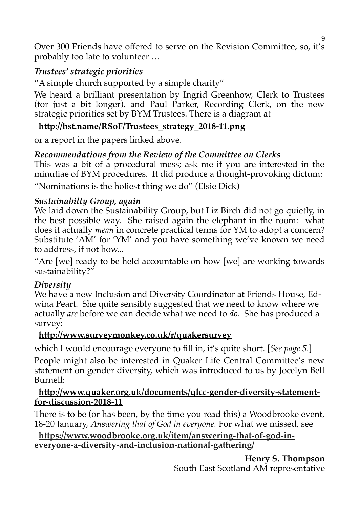Over 300 Friends have offered to serve on the Revision Committee, so, it's probably too late to volunteer …

### *Trustees' strategic priorities*

"A simple church supported by a simple charity"

We heard a brilliant presentation by Ingrid Greenhow, Clerk to Trustees (for just a bit longer), and Paul Parker, Recording Clerk, on the new strategic priorities set by BYM Trustees. There is a diagram at

### **http://hst.name/RSoF/Trustees\_strategy\_2018-11.png**

or a report in the papers linked above.

### *Recommendations from the Review of the Committee on Clerks*

This was a bit of a procedural mess; ask me if you are interested in the minutiae of BYM procedures. It did produce a thought-provoking dictum:

"Nominations is the holiest thing we do" (Elsie Dick)

### *Sustainabilty Group, again*

We laid down the Sustainability Group, but Liz Birch did not go quietly, in the best possible way. She raised again the elephant in the room: what does it actually *mean* in concrete practical terms for YM to adopt a concern? Substitute 'AM' for 'YM' and you have something we've known we need to address, if not how...

"Are [we] ready to be held accountable on how [we] are working towards sustainability?"

### *Diversity*

We have a new Inclusion and Diversity Coordinator at Friends House, Edwina Peart. She quite sensibly suggested that we need to know where we actually *are* before we can decide what we need to *do*. She has produced a survey:

### **http://www.surveymonkey.co.uk/r/quakersurvey**

which I would encourage everyone to fill in, it's quite short. [*See page 5.*]

People might also be interested in Quaker Life Central Committee's new statement on gender diversity, which was introduced to us by Jocelyn Bell Burnell:

#### **http://www.quaker.org.uk/documents/qlcc-gender-diversity-statementfor-discussion-2018-11**

There is to be (or has been, by the time you read this) a Woodbrooke event, 18-20 January, *Answering that of God in everyone.* For what we missed, see

### **[https://www.woodbrooke.org.uk/item/answering-that-of-god-in](https://www.woodbrooke.org.uk/item/answering-that-of-god-in-everyone-a-diversity-and-inclusion-national-gathering/)[everyone-a-diversity-and-inclusion-national-gathering/](https://www.woodbrooke.org.uk/item/answering-that-of-god-in-everyone-a-diversity-and-inclusion-national-gathering/)**

**Henry S. Thompson** South East Scotland AM representative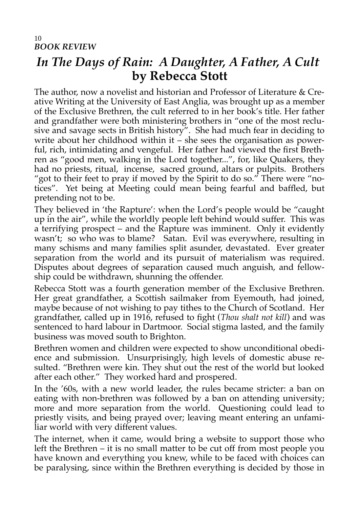### *In The Days of Rain: A Daughter, A Father, A Cult* **by Rebecca Stott**

The author, now a novelist and historian and Professor of Literature & Creative Writing at the University of East Anglia, was brought up as a member of the Exclusive Brethren, the cult referred to in her book's title. Her father and grandfather were both ministering brothers in "one of the most reclusive and savage sects in British history". She had much fear in deciding to write about her childhood within it – she sees the organisation as powerful, rich, intimidating and vengeful. Her father had viewed the first Brethren as "good men, walking in the Lord together...", for, like Quakers, they had no priests, ritual, incense, sacred ground, altars or pulpits. Brothers "got to their feet to pray if moved by the Spirit to do so." There were "notices". Yet being at Meeting could mean being fearful and baffled, but pretending not to be.

They believed in 'the Rapture': when the Lord's people would be "caught up in the air", while the worldly people left behind would suffer. This was a terrifying prospect – and the Rapture was imminent. Only it evidently wasn't; so who was to blame? Satan. Evil was everywhere, resulting in many schisms and many families split asunder, devastated. Ever greater separation from the world and its pursuit of materialism was required. Disputes about degrees of separation caused much anguish, and fellowship could be withdrawn, shunning the offender.

Rebecca Stott was a fourth generation member of the Exclusive Brethren. Her great grandfather, a Scottish sailmaker from Eyemouth, had joined, maybe because of not wishing to pay tithes to the Church of Scotland. Her grandfather, called up in 1916, refused to fight (*Thou shalt not kill*) and was sentenced to hard labour in Dartmoor. Social stigma lasted, and the family business was moved south to Brighton.

Brethren women and children were expected to show unconditional obedience and submission. Unsurprisingly, high levels of domestic abuse resulted. "Brethren were kin. They shut out the rest of the world but looked after each other." They worked hard and prospered.

In the '60s, with a new world leader, the rules became stricter: a ban on eating with non-brethren was followed by a ban on attending university; more and more separation from the world. Questioning could lead to priestly visits, and being prayed over; leaving meant entering an unfamiliar world with very different values.

The internet, when it came, would bring a website to support those who left the Brethren – it is no small matter to be cut off from most people you have known and everything you knew, while to be faced with choices can be paralysing, since within the Brethren everything is decided by those in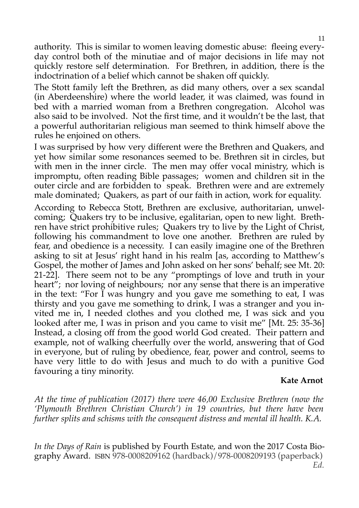authority. This is similar to women leaving domestic abuse: fleeing everyday control both of the minutiae and of major decisions in life may not quickly restore self determination. For Brethren, in addition, there is the indoctrination of a belief which cannot be shaken off quickly.

The Stott family left the Brethren, as did many others, over a sex scandal (in Aberdeenshire) where the world leader, it was claimed, was found in bed with a married woman from a Brethren congregation. Alcohol was also said to be involved. Not the first time, and it wouldn't be the last, that a powerful authoritarian religious man seemed to think himself above the rules he enjoined on others.

I was surprised by how very different were the Brethren and Quakers, and yet how similar some resonances seemed to be. Brethren sit in circles, but with men in the inner circle. The men may offer vocal ministry, which is impromptu, often reading Bible passages; women and children sit in the outer circle and are forbidden to speak. Brethren were and are extremely male dominated; Quakers, as part of our faith in action, work for equality.

According to Rebecca Stott, Brethren are exclusive, authoritarian, unwelcoming; Quakers try to be inclusive, egalitarian, open to new light. Brethren have strict prohibitive rules; Quakers try to live by the Light of Christ, following his commandment to love one another. Brethren are ruled by fear, and obedience is a necessity. I can easily imagine one of the Brethren asking to sit at Jesus' right hand in his realm [as, according to Matthew's Gospel, the mother of James and John asked on her sons' behalf; see Mt. 20: 21-22]. There seem not to be any "promptings of love and truth in your heart"; nor loving of neighbours; nor any sense that there is an imperative in the text: "For I was hungry and you gave me something to eat, I was thirsty and you gave me something to drink, I was a stranger and you invited me in, I needed clothes and you clothed me, I was sick and you looked after me, I was in prison and you came to visit me" [Mt. 25: 35-36] Instead, a closing off from the good world God created. Their pattern and example, not of walking cheerfully over the world, answering that of God in everyone, but of ruling by obedience, fear, power and control, seems to have very little to do with Jesus and much to do with a punitive God favouring a tiny minority.

#### **Kate Arnot**

*At the time of publication (2017) there were 46,00 Exclusive Brethren (now the 'Plymouth Brethren Christian Church') in 19 countries, but there have been further splits and schisms with the consequent distress and mental ill health. K.A.*

*In the Days of Rain* is published by Fourth Estate, and won the 2017 Costa Biography Award. ISBN 978-0008209162 (hardback)/978-0008209193 (paperback) *Ed.*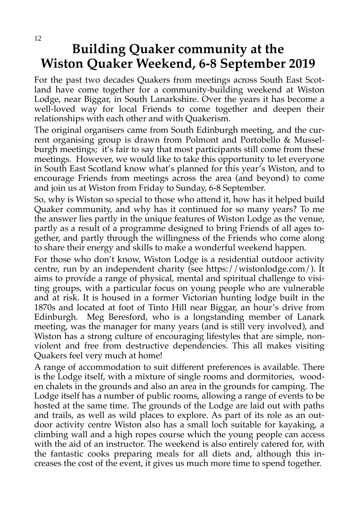### **Building Quaker community at the Wiston Quaker Weekend, 6-8 September 2019**

For the past two decades Quakers from meetings across South East Scotland have come together for a community-building weekend at Wiston Lodge, near Biggar, in South Lanarkshire. Over the years it has become a well-loved way for local Friends to come together and deepen their relationships with each other and with Quakerism.

The original organisers came from South Edinburgh meeting, and the current organising group is drawn from Polmont and Portobello & Musselburgh meetings; it's fair to say that most participants still come from these meetings. However, we would like to take this opportunity to let everyone in South East Scotland know what's planned for this year's Wiston, and to encourage Friends from meetings across the area (and beyond) to come and join us at Wiston from Friday to Sunday, 6-8 September.

So, why is Wiston so special to those who attend it, how has it helped build Quaker community, and why has it continued for so many years? To me the answer lies partly in the unique features of Wiston Lodge as the venue, partly as a result of a programme designed to bring Friends of all ages together, and partly through the willingness of the Friends who come along to share their energy and skills to make a wonderful weekend happen.

For those who don't know, Wiston Lodge is a residential outdoor activity centre, run by an independent charity (see https://wistonlodge.com/). It aims to provide a range of physical, mental and spiritual challenge to visiting groups, with a particular focus on young people who are vulnerable and at risk. It is housed in a former Victorian hunting lodge built in the 1870s and located at foot of Tinto Hill near Biggar, an hour's drive from Edinburgh. Meg Beresford, who is a longstanding member of Lanark meeting, was the manager for many years (and is still very involved), and Wiston has a strong culture of encouraging lifestyles that are simple, nonviolent and free from destructive dependencies. This all makes visiting Quakers feel very much at home!

A range of accommodation to suit different preferences is available. There is the Lodge itself, with a mixture of single rooms and dormitories, wooden chalets in the grounds and also an area in the grounds for camping. The Lodge itself has a number of public rooms, allowing a range of events to be hosted at the same time. The grounds of the Lodge are laid out with paths and trails, as well as wild places to explore. As part of its role as an outdoor activity centre Wiston also has a small loch suitable for kayaking, a climbing wall and a high ropes course which the young people can access with the aid of an instructor. The weekend is also entirely catered for, with the fantastic cooks preparing meals for all diets and, although this increases the cost of the event, it gives us much more time to spend together.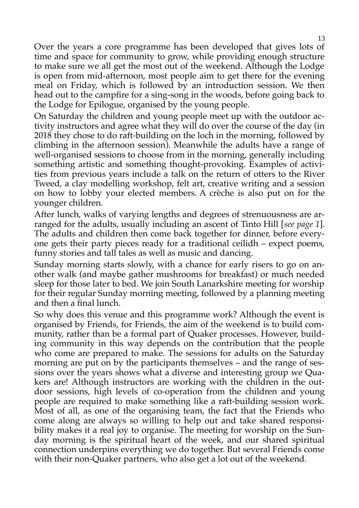Over the years a core programme has been developed that gives lots of time and space for community to grow, while providing enough structure to make sure we all get the most out of the weekend. Although the Lodge is open from mid-afternoon, most people aim to get there for the evening meal on Friday, which is followed by an introduction session. We then head out to the campfire for a sing-song in the woods, before going back to the Lodge for Epilogue, organised by the young people.

On Saturday the children and young people meet up with the outdoor activity instructors and agree what they will do over the course of the day (in 2018 they chose to do raft-building on the loch in the morning, followed by climbing in the afternoon session). Meanwhile the adults have a range of well-organised sessions to choose from in the morning, generally including something artistic and something thought-provoking. Examples of activities from previous years include a talk on the return of otters to the River Tweed, a clay modelling workshop, felt art, creative writing and a session on how to lobby your elected members. A crèche is also put on for the younger children.

After lunch, walks of varying lengths and degrees of strenuousness are arranged for the adults, usually including an ascent of Tinto Hill [*see page 1*]. The adults and children then come back together for dinner, before everyone gets their party pieces ready for a traditional ceilidh – expect poems, funny stories and tall tales as well as music and dancing.

Sunday morning starts slowly, with a chance for early risers to go on another walk (and maybe gather mushrooms for breakfast) or much needed sleep for those later to bed. We join South Lanarkshire meeting for worship for their regular Sunday morning meeting, followed by a planning meeting and then a final lunch.

So why does this venue and this programme work? Although the event is organised by Friends, for Friends, the aim of the weekend is to build community, rather than be a formal part of Quaker processes. However, building community in this way depends on the contribution that the people who come are prepared to make. The sessions for adults on the Saturday morning are put on by the participants themselves – and the range of sessions over the years shows what a diverse and interesting group we Quakers are! Although instructors are working with the children in the outdoor sessions, high levels of co-operation from the children and young people are required to make something like a raft-building session work. Most of all, as one of the organising team, the fact that the Friends who come along are always so willing to help out and take shared responsibility makes it a real joy to organise. The meeting for worship on the Sunday morning is the spiritual heart of the week, and our shared spiritual connection underpins everything we do together. But several Friends come with their non-Quaker partners, who also get a lot out of the weekend.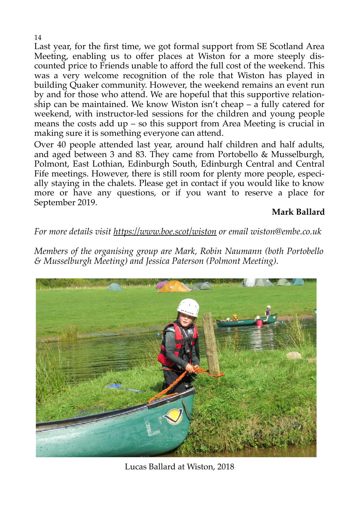Last year, for the first time, we got formal support from SE Scotland Area Meeting, enabling us to offer places at Wiston for a more steeply discounted price to Friends unable to afford the full cost of the weekend. This was a very welcome recognition of the role that Wiston has played in building Quaker community. However, the weekend remains an event run by and for those who attend. We are hopeful that this supportive relationship can be maintained. We know Wiston isn't cheap  $-\overline{a}$  fully catered for weekend, with instructor-led sessions for the children and young people means the costs add up – so this support from Area Meeting is crucial in making sure it is something everyone can attend.

Over 40 people attended last year, around half children and half adults, and aged between 3 and 83. They came from Portobello & Musselburgh, Polmont, East Lothian, Edinburgh South, Edinburgh Central and Central Fife meetings. However, there is still room for plenty more people, especially staying in the chalets. Please get in contact if you would like to know more or have any questions, or if you want to reserve a place for September 2019.

**Mark Ballard**

### *For more details visit<https://www.boe.scot/wiston>or email wiston@embe.co.uk*

*Members of the organising group are Mark, Robin Naumann (both Portobello & Musselburgh Meeting) and Jessica Paterson (Polmont Meeting).*



Lucas Ballard at Wiston, 2018

14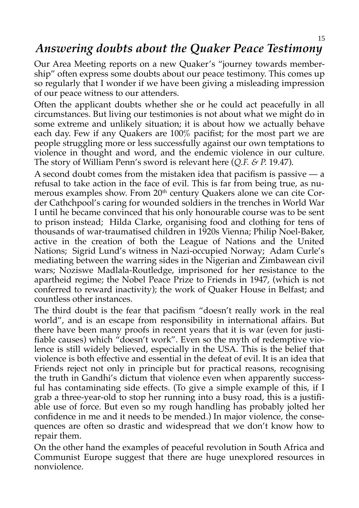### *Answering doubts about the Quaker Peace Testimony*

Our Area Meeting reports on a new Quaker's "journey towards membership" often express some doubts about our peace testimony. This comes up so regularly that I wonder if we have been giving a misleading impression of our peace witness to our attenders.

Often the applicant doubts whether she or he could act peacefully in all circumstances. But living our testimonies is not about what we might do in some extreme and unlikely situation; it is about how we actually behave each day. Few if any Quakers are 100% pacifist; for the most part we are people struggling more or less successfully against our own temptations to violence in thought and word, and the endemic violence in our culture. The story of William Penn's sword is relevant here (*Q.F. & P.* 19.47).

A second doubt comes from the mistaken idea that pacifism is passive — a refusal to take action in the face of evil. This is far from being true, as numerous examples show. From 20<sup>th</sup> century Quakers alone we can cite Corder Cathchpool's caring for wounded soldiers in the trenches in World War I until he became convinced that his only honourable course was to be sent to prison instead; Hilda Clarke, organising food and clothing for tens of thousands of war-traumatised children in 1920s Vienna; Philip Noel-Baker, active in the creation of both the League of Nations and the United Nations; Sigrid Lund's witness in Nazi-occupied Norway; Adam Curle's mediating between the warring sides in the Nigerian and Zimbawean civil wars; Noziswe Madlala-Routledge, imprisoned for her resistance to the apartheid regime; the Nobel Peace Prize to Friends in 1947, (which is not conferred to reward inactivity); the work of Quaker House in Belfast; and countless other instances.

The third doubt is the fear that pacifism "doesn't really work in the real world", and is an escape from responsibility in international affairs. But there have been many proofs in recent years that it is war (even for justifiable causes) which "doesn't work". Even so the myth of redemptive violence is still widely believed, especially in the USA. This is the belief that violence is both effective and essential in the defeat of evil. It is an idea that Friends reject not only in principle but for practical reasons, recognising the truth in Gandhi's dictum that violence even when apparently successful has contaminating side effects. (To give a simple example of this, if I grab a three-year-old to stop her running into a busy road, this is a justifiable use of force. But even so my rough handling has probably jolted her confidence in me and it needs to be mended.) In major violence, the consequences are often so drastic and widespread that we don't know how to repair them.

On the other hand the examples of peaceful revolution in South Africa and Communist Europe suggest that there are huge unexplored resources in nonviolence.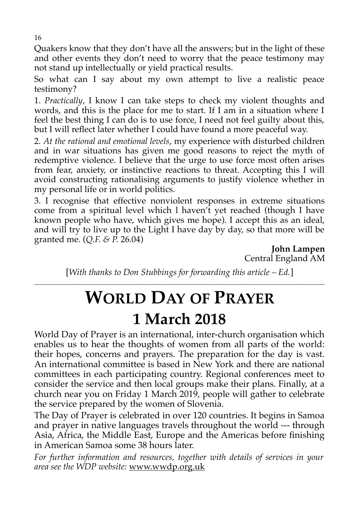Quakers know that they don't have all the answers; but in the light of these and other events they don't need to worry that the peace testimony may not stand up intellectually or yield practical results.

So what can I say about my own attempt to live a realistic peace testimony?

1. *Practically*, I know I can take steps to check my violent thoughts and words, and this is the place for me to start. If I am in a situation where I feel the best thing I can do is to use force, I need not feel guilty about this, but I will reflect later whether I could have found a more peaceful way.

2. *At the rational and emotional levels*, my experience with disturbed children and in war situations has given me good reasons to reject the myth of redemptive violence. I believe that the urge to use force most often arises from fear, anxiety, or instinctive reactions to threat. Accepting this I will avoid constructing rationalising arguments to justify violence whether in my personal life or in world politics.

3. I recognise that effective nonviolent responses in extreme situations come from a spiritual level which l haven't yet reached (though I have known people who have, which gives me hope). I accept this as an ideal, and will try to live up to the Light I have day by day, so that more will be granted me. (*Q.F. & P.* 26.04)

**John Lampen** Central England AM

[*With thanks to Don Stubbings for forwarding this article – Ed.*] **\_\_\_\_\_\_\_\_\_\_\_\_\_\_\_\_\_\_\_\_\_\_\_\_\_\_\_\_\_\_\_\_\_\_\_\_\_\_\_\_\_\_\_\_\_\_\_\_\_\_\_\_\_\_\_\_\_\_\_\_\_\_\_\_\_\_\_\_\_\_\_\_\_\_\_\_\_\_\_\_\_\_\_\_\_\_\_\_\_\_\_\_\_\_\_\_\_\_\_\_\_\_\_\_\_\_\_**

## **WORLD DAY OF PRAYER**

### **1 March 2018**

World Day of Prayer is an international, inter-church organisation which enables us to hear the thoughts of women from all parts of the world: their hopes, concerns and prayers. The preparation for the day is vast. An international committee is based in New York and there are national committees in each participating country. Regional conferences meet to consider the service and then local groups make their plans. Finally, at a church near you on Friday 1 March 2019, people will gather to celebrate the service prepared by the women of Slovenia.

The Day of Prayer is celebrated in over 120 countries. It begins in Samoa and prayer in native languages travels throughout the world --- through Asia, Africa, the Middle East, Europe and the Americas before finishing in American Samoa some 38 hours later.

*For further information and resources, together with details of services in your area see the WDP website:* www.wwdp.org.uk

16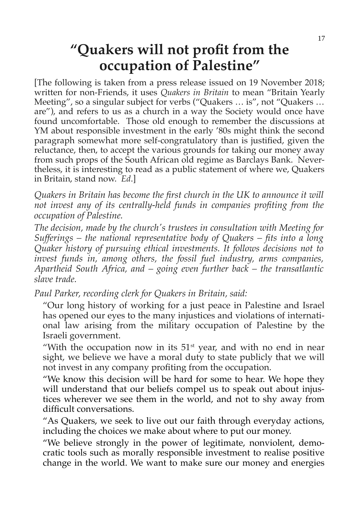### **"Quakers will not profit from the occupation of Palestine"**

[The following is taken from a press release issued on 19 November 2018; written for non-Friends, it uses *Quakers in Britain* to mean "Britain Yearly Meeting", so a singular subject for verbs ("Quakers … is", not "Quakers … are"), and refers to us as a church in a way the Society would once have found uncomfortable. Those old enough to remember the discussions at YM about responsible investment in the early '80s might think the second paragraph somewhat more self-congratulatory than is justified, given the reluctance, then, to accept the various grounds for taking our money away from such props of the South African old regime as Barclays Bank. Nevertheless, it is interesting to read as a public statement of where we, Quakers in Britain, stand now. *Ed*.]

*Quakers in Britain has become the first church in the UK to announce it will not invest any of its centrally-held funds in companies profiting from the occupation of Palestine.*

*The decision, made by the church's trustees in consultation with Meeting for Sufferings – the national representative body of Quakers – fits into a long Quaker history of pursuing ethical investments. It follows decisions not to invest funds in, among others, the fossil fuel industry, arms companies, Apartheid South Africa, and – going even further back – the transatlantic slave trade.*

*Paul Parker, recording clerk for Quakers in Britain, said:*

"Our long history of working for a just peace in Palestine and Israel has opened our eyes to the many injustices and violations of international law arising from the military occupation of Palestine by the Israeli government.

"With the occupation now in its  $51<sup>st</sup>$  year, and with no end in near sight, we believe we have a moral duty to state publicly that we will not invest in any company profiting from the occupation.

"We know this decision will be hard for some to hear. We hope they will understand that our beliefs compel us to speak out about injustices wherever we see them in the world, and not to shy away from difficult conversations.

"As Quakers, we seek to live out our faith through everyday actions, including the choices we make about where to put our money.

"We believe strongly in the power of legitimate, nonviolent, democratic tools such as morally responsible investment to realise positive change in the world. We want to make sure our money and energies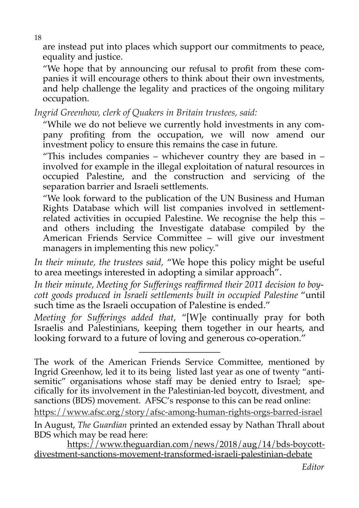are instead put into places which support our commitments to peace, equality and justice.

"We hope that by announcing our refusal to profit from these companies it will encourage others to think about their own investments, and help challenge the legality and practices of the ongoing military occupation.

*Ingrid Greenhow, clerk of Quakers in Britain trustees, said:*

"While we do not believe we currently hold investments in any company profiting from the occupation, we will now amend our investment policy to ensure this remains the case in future.

"This includes companies – whichever country they are based in  $$ involved for example in the illegal exploitation of natural resources in occupied Palestine, and the construction and servicing of the separation barrier and Israeli settlements.

"We look forward to the publication of the UN Business and Human Rights Database which will list companies involved in settlementrelated activities in occupied Palestine. We recognise the help this – and others including the Investigate database compiled by the American Friends Service Committee – will give our investment managers in implementing this new policy."

*In their minute, the trustees said,* "We hope this policy might be useful to area meetings interested in adopting a similar approach".

*In their minute, Meeting for Sufferings reaffirmed their 2011 decision to boycott goods produced in Israeli settlements built in occupied Palestine* "until such time as the Israeli occupation of Palestine is ended."

*Meeting for Sufferings added that,* "[W]e continually pray for both Israelis and Palestinians, keeping them together in our hearts, and looking forward to a future of loving and generous co-operation."

**\_\_\_\_\_\_\_\_\_\_\_\_\_\_\_\_\_\_**

<https://www.afsc.org/story/afsc-among-human-rights-orgs-barred-israel>

The work of the American Friends Service Committee, mentioned by Ingrid Greenhow, led it to its being listed last year as one of twenty "antisemitic" organisations whose staff may be denied entry to Israel; specifically for its involvement in the Palestinian-led boycott, divestment, and sanctions (BDS) movement. AFSC's response to this can be read online:

In August, *The Guardian* printed an extended essay by Nathan Thrall about BDS which may be read here:

https://www.theguardian.com/news/2018/aug/14/bds-boycottdivestment-sanctions-movement-transformed-israeli-palestinian-debate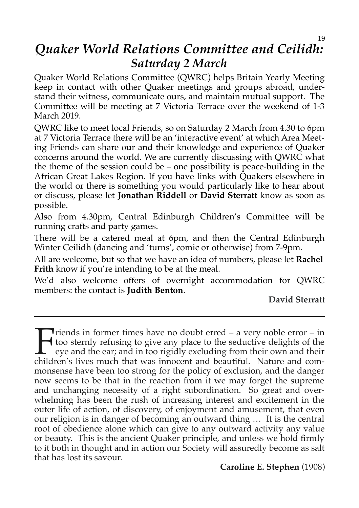### *Quaker World Relations Committee and Ceilidh: Saturday 2 March*

Quaker World Relations Committee (QWRC) helps Britain Yearly Meeting keep in contact with other Quaker meetings and groups abroad, understand their witness, communicate ours, and maintain mutual support. The Committee will be meeting at 7 Victoria Terrace over the weekend of 1-3 March 2019.

QWRC like to meet local Friends, so on Saturday 2 March from 4.30 to 6pm at 7 Victoria Terrace there will be an 'interactive event' at which Area Meeting Friends can share our and their knowledge and experience of Quaker concerns around the world. We are currently discussing with QWRC what the theme of the session could be – one possibility is peace-building in the African Great Lakes Region. If you have links with Quakers elsewhere in the world or there is something you would particularly like to hear about or discuss, please let **Jonathan Riddell** or **David Sterratt** know as soon as possible.

Also from 4.30pm, Central Edinburgh Children's Committee will be running crafts and party games.

There will be a catered meal at 6pm, and then the Central Edinburgh Winter Ceilidh (dancing and 'turns', comic or otherwise) from 7-9pm.

All are welcome, but so that we have an idea of numbers, please let **Rachel Frith** know if you're intending to be at the meal.

We'd also welcome offers of overnight accommodation for QWRC members: the contact is **Judith Benton**.

**David Sterratt**

**T**riends in former times have no doubt erred  $-$  a very noble error  $-$  in too sternly refusing to give any place to the seductive delights of the eye and the ear; and in too rigidly excluding from their own and their children's lives much that was innocent and beautiful. Nature and commonsense have been too strong for the policy of exclusion, and the danger now seems to be that in the reaction from it we may forget the supreme and unchanging necessity of a right subordination. So great and overwhelming has been the rush of increasing interest and excitement in the outer life of action, of discovery, of enjoyment and amusement, that even our religion is in danger of becoming an outward thing … It is the central root of obedience alone which can give to any outward activity any value or beauty. This is the ancient Quaker principle, and unless we hold firmly to it both in thought and in action our Society will assuredly become as salt that has lost its savour.  $\prod_{\text{child}}$ 

### **Caroline E. Stephen** (1908)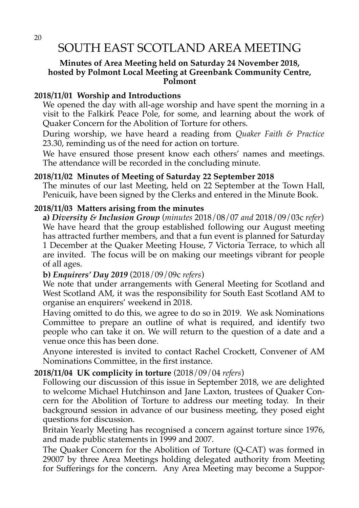### SOUTH EAST SCOTLAND AREA MEETING

#### **Minutes of Area Meeting held on Saturday 24 November 2018, hosted by Polmont Local Meeting at Greenbank Community Centre, Polmont**

#### **2018/11/01 Worship and Introductions**

We opened the day with all-age worship and have spent the morning in a visit to the Falkirk Peace Pole, for some, and learning about the work of Quaker Concern for the Abolition of Torture for others.

During worship, we have heard a reading from *Quaker Faith & Practice* 23.30, reminding us of the need for action on torture.

We have ensured those present know each others' names and meetings. The attendance will be recorded in the concluding minute.

#### **2018/11/02 Minutes of Meeting of Saturday 22 September 2018**

The minutes of our last Meeting, held on 22 September at the Town Hall, Penicuik, have been signed by the Clerks and entered in the Minute Book.

#### **2018/11/03 Matters arising from the minutes**

**a)** *Diversity & Inclusion Group* (*minutes* 2018/08/07 *and* 2018/09/03c *refer*) We have heard that the group established following our August meeting has attracted further members, and that a fun event is planned for Saturday 1 December at the Quaker Meeting House, 7 Victoria Terrace, to which all are invited. The focus will be on making our meetings vibrant for people of all ages.

#### **b)** *Enquirers' Day 2019* (2018/09/09c *refers*)

We note that under arrangements with General Meeting for Scotland and West Scotland AM, it was the responsibility for South East Scotland AM to organise an enquirers' weekend in 2018.

Having omitted to do this, we agree to do so in 2019. We ask Nominations Committee to prepare an outline of what is required, and identify two people who can take it on. We will return to the question of a date and a venue once this has been done.

Anyone interested is invited to contact Rachel Crockett, Convener of AM Nominations Committee, in the first instance.

#### **2018/11/04 UK complicity in torture** (2018/09/04 *refers*)

Following our discussion of this issue in September 2018, we are delighted to welcome Michael Hutchinson and Jane Laxton, trustees of Quaker Concern for the Abolition of Torture to address our meeting today. In their background session in advance of our business meeting, they posed eight questions for discussion.

Britain Yearly Meeting has recognised a concern against torture since 1976, and made public statements in 1999 and 2007.

The Quaker Concern for the Abolition of Torture (Q-CAT) was formed in 29007 by three Area Meetings holding delegated authority from Meeting for Sufferings for the concern. Any Area Meeting may become a Suppor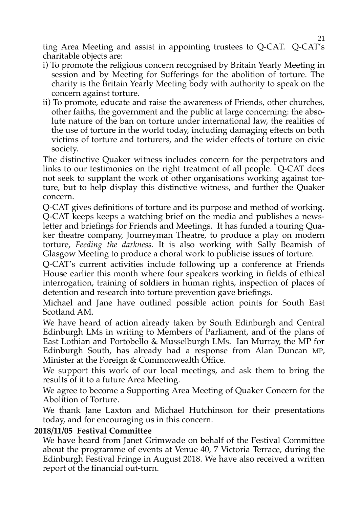ting Area Meeting and assist in appointing trustees to Q-CAT. Q-CAT's charitable objects are:

- i) To promote the religious concern recognised by Britain Yearly Meeting in session and by Meeting for Sufferings for the abolition of torture. The charity is the Britain Yearly Meeting body with authority to speak on the concern against torture.
- ii) To promote, educate and raise the awareness of Friends, other churches, other faiths, the government and the public at large concerning: the absolute nature of the ban on torture under international law, the realities of the use of torture in the world today, including damaging effects on both victims of torture and torturers, and the wider effects of torture on civic society.

The distinctive Quaker witness includes concern for the perpetrators and links to our testimonies on the right treatment of all people. Q-CAT does not seek to supplant the work of other organisations working against torture, but to help display this distinctive witness, and further the Quaker concern.

Q-CAT gives definitions of torture and its purpose and method of working. Q-CAT keeps keeps a watching brief on the media and publishes a newsletter and briefings for Friends and Meetings. It has funded a touring Quaker theatre company, Journeyman Theatre, to produce a play on modern torture, *Feeding the darkness.* It is also working with Sally Beamish of Glasgow Meeting to produce a choral work to publicise issues of torture.

Q-CAT's current activities include following up a conference at Friends House earlier this month where four speakers working in fields of ethical interrogation, training of soldiers in human rights, inspection of places of detention and research into torture prevention gave briefings.

Michael and Jane have outlined possible action points for South East Scotland AM.

We have heard of action already taken by South Edinburgh and Central Edinburgh LMs in writing to Members of Parliament, and of the plans of East Lothian and Portobello & Musselburgh LMs. Ian Murray, the MP for Edinburgh South, has already had a response from Alan Duncan MP, Minister at the Foreign & Commonwealth Office.

We support this work of our local meetings, and ask them to bring the results of it to a future Area Meeting.

We agree to become a Supporting Area Meeting of Quaker Concern for the Abolition of Torture.

We thank Jane Laxton and Michael Hutchinson for their presentations today, and for encouraging us in this concern.

#### **2018/11/05 Festival Committee**

We have heard from Janet Grimwade on behalf of the Festival Committee about the programme of events at Venue 40, 7 Victoria Terrace, during the Edinburgh Festival Fringe in August 2018. We have also received a written report of the financial out-turn.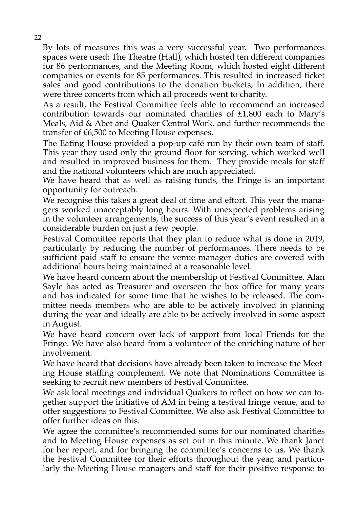By lots of measures this was a very successful year. Two performances spaces were used: The Theatre (Hall), which hosted ten different companies for 86 performances, and the Meeting Room, which hosted eight different companies or events for 85 performances. This resulted in increased ticket sales and good contributions to the donation buckets, In addition, there were three concerts from which all proceeds went to charity.

As a result, the Festival Committee feels able to recommend an increased contribution towards our nominated charities of £1,800 each to Mary's Meals, Aid & Abet and Quaker Central Work, and further recommends the transfer of £6,500 to Meeting House expenses.

The Eating House provided a pop-up café run by their own team of staff. This year they used only the ground floor for serving, which worked well and resulted in improved business for them. They provide meals for staff and the national volunteers which are much appreciated.

We have heard that as well as raising funds, the Fringe is an important opportunity for outreach.

We recognise this takes a great deal of time and effort. This year the managers worked unacceptably long hours. With unexpected problems arising in the volunteer arrangements, the success of this year's event resulted in a considerable burden on just a few people.

Festival Committee reports that they plan to reduce what is done in 2019, particularly by reducing the number of performances. There needs to be sufficient paid staff to ensure the venue manager duties are covered with additional hours being maintained at a reasonable level.

We have heard concern about the membership of Festival Committee. Alan Sayle has acted as Treasurer and overseen the box office for many years and has indicated for some time that he wishes to be released. The committee needs members who are able to be actively involved in planning during the year and ideally are able to be actively involved in some aspect in August.

We have heard concern over lack of support from local Friends for the Fringe. We have also heard from a volunteer of the enriching nature of her involvement.

We have heard that decisions have already been taken to increase the Meeting House staffing complement. We note that Nominations Committee is seeking to recruit new members of Festival Committee.

We ask local meetings and individual Quakers to reflect on how we can together support the initiative of AM in being a festival fringe venue, and to offer suggestions to Festival Committee. We also ask Festival Committee to offer further ideas on this.

We agree the committee's recommended sums for our nominated charities and to Meeting House expenses as set out in this minute. We thank Janet for her report, and for bringing the committee's concerns to us. We thank the Festival Committee for their efforts throughout the year, and particularly the Meeting House managers and staff for their positive response to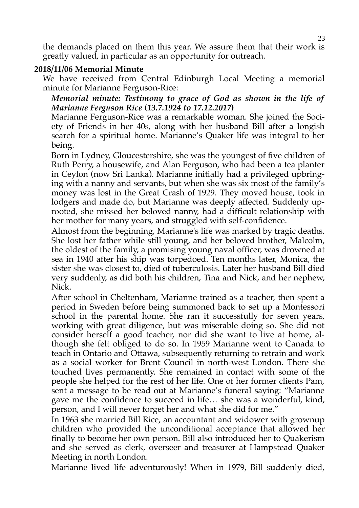the demands placed on them this year. We assure them that their work is greatly valued, in particular as an opportunity for outreach.

#### **2018/11/06 Memorial Minute**

We have received from Central Edinburgh Local Meeting a memorial minute for Marianne Ferguson-Rice:

#### *Memorial minute: Testimony to grace of God as shown in the life of Marianne Ferguson Rice* **(***13.7.1924 to 17.12.2017***)**

Marianne Ferguson-Rice was a remarkable woman. She joined the Society of Friends in her 40s, along with her husband Bill after a longish search for a spiritual home. Marianne's Quaker life was integral to her being.

Born in Lydney, Gloucestershire, she was the youngest of five children of Ruth Perry, a housewife, and Alan Ferguson, who had been a tea planter in Ceylon (now Sri Lanka). Marianne initially had a privileged upbringing with a nanny and servants, but when she was six most of the family's money was lost in the Great Crash of 1929. They moved house, took in lodgers and made do, but Marianne was deeply affected. Suddenly uprooted, she missed her beloved nanny, had a difficult relationship with her mother for many years, and struggled with self-confidence.

Almost from the beginning, Marianne's life was marked by tragic deaths. She lost her father while still young, and her beloved brother, Malcolm, the oldest of the family, a promising young naval officer, was drowned at sea in 1940 after his ship was torpedoed. Ten months later, Monica, the sister she was closest to, died of tuberculosis. Later her husband Bill died very suddenly, as did both his children, Tina and Nick, and her nephew, Nick.

After school in Cheltenham, Marianne trained as a teacher, then spent a period in Sweden before being summoned back to set up a Montessori school in the parental home. She ran it successfully for seven years, working with great diligence, but was miserable doing so. She did not consider herself a good teacher, nor did she want to live at home, although she felt obliged to do so. In 1959 Marianne went to Canada to teach in Ontario and Ottawa, subsequently returning to retrain and work as a social worker for Brent Council in north-west London. There she touched lives permanently. She remained in contact with some of the people she helped for the rest of her life. One of her former clients Pam, sent a message to be read out at Marianne's funeral saying: "Marianne gave me the confidence to succeed in life… she was a wonderful, kind, person, and I will never forget her and what she did for me."

In 1963 she married Bill Rice, an accountant and widower with grownup children who provided the unconditional acceptance that allowed her finally to become her own person. Bill also introduced her to Quakerism and she served as clerk, overseer and treasurer at Hampstead Quaker Meeting in north London.

Marianne lived life adventurously! When in 1979, Bill suddenly died,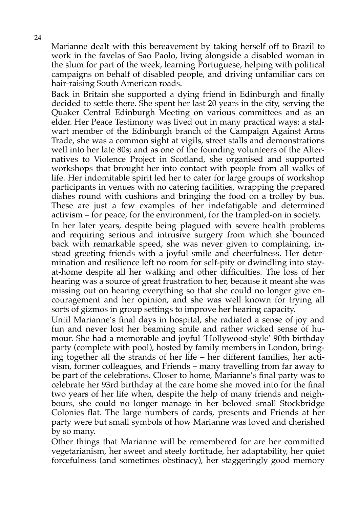Marianne dealt with this bereavement by taking herself off to Brazil to work in the favelas of Sao Paolo, living alongside a disabled woman in the slum for part of the week, learning Portuguese, helping with political campaigns on behalf of disabled people, and driving unfamiliar cars on hair-raising South American roads.

Back in Britain she supported a dying friend in Edinburgh and finally decided to settle there. She spent her last 20 years in the city, serving the Quaker Central Edinburgh Meeting on various committees and as an elder. Her Peace Testimony was lived out in many practical ways: a stalwart member of the Edinburgh branch of the Campaign Against Arms Trade, she was a common sight at vigils, street stalls and demonstrations well into her late 80s; and as one of the founding volunteers of the Alternatives to Violence Project in Scotland, she organised and supported workshops that brought her into contact with people from all walks of life. Her indomitable spirit led her to cater for large groups of workshop participants in venues with no catering facilities, wrapping the prepared dishes round with cushions and bringing the food on a trolley by bus. These are just a few examples of her indefatigable and determined activism – for peace, for the environment, for the trampled-on in society.

In her later years, despite being plagued with severe health problems and requiring serious and intrusive surgery from which she bounced back with remarkable speed, she was never given to complaining, instead greeting friends with a joyful smile and cheerfulness. Her determination and resilience left no room for self-pity or dwindling into stayat-home despite all her walking and other difficulties. The loss of her hearing was a source of great frustration to her, because it meant she was missing out on hearing everything so that she could no longer give encouragement and her opinion, and she was well known for trying all sorts of gizmos in group settings to improve her hearing capacity.

Until Marianne's final days in hospital, she radiated a sense of joy and fun and never lost her beaming smile and rather wicked sense of humour. She had a memorable and joyful 'Hollywood-style' 90th birthday party (complete with pool), hosted by family members in London, bringing together all the strands of her life – her different families, her activism, former colleagues, and Friends – many travelling from far away to be part of the celebrations. Closer to home, Marianne's final party was to celebrate her 93rd birthday at the care home she moved into for the final two years of her life when, despite the help of many friends and neighbours, she could no longer manage in her beloved small Stockbridge Colonies flat. The large numbers of cards, presents and Friends at her party were but small symbols of how Marianne was loved and cherished by so many.

Other things that Marianne will be remembered for are her committed vegetarianism, her sweet and steely fortitude, her adaptability, her quiet forcefulness (and sometimes obstinacy), her staggeringly good memory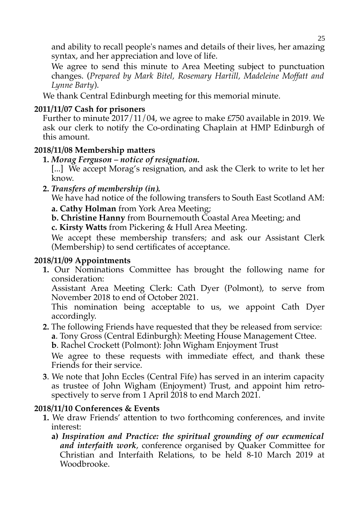and ability to recall people's names and details of their lives, her amazing syntax, and her appreciation and love of life.

We agree to send this minute to Area Meeting subject to punctuation changes. (*Prepared by Mark Bitel, Rosemary Hartill, Madeleine Moffatt and Lynne Barty*).

We thank Central Edinburgh meeting for this memorial minute.

### **2011/11/07 Cash for prisoners**

Further to minute 2017/11/04, we agree to make £750 available in 2019. We ask our clerk to notify the Co-ordinating Chaplain at HMP Edinburgh of this amount.

### **2018/11/08 Membership matters**

**1.** *Morag Ferguson – notice of resignation.*

[...] We accept Morag's resignation, and ask the Clerk to write to let her know.

**2.** *Transfers of membership (in)***.**

We have had notice of the following transfers to South East Scotland AM: **a. Cathy Holman** from York Area Meeting;

**b. Christine Hanny** from Bournemouth Coastal Area Meeting; and **c. Kirsty Watts** from Pickering & Hull Area Meeting.

We accept these membership transfers; and ask our Assistant Clerk (Membership) to send certificates of acceptance.

### **2018/11/09 Appointments**

**1.** Our Nominations Committee has brought the following name for consideration:

Assistant Area Meeting Clerk: Cath Dyer (Polmont), to serve from November 2018 to end of October 2021.

This nomination being acceptable to us, we appoint Cath Dyer accordingly.

**2.** The following Friends have requested that they be released from service: **a**. Tony Gross (Central Edinburgh): Meeting House Management Cttee.

**b**. Rachel Crockett (Polmont): John Wigham Enjoyment Trust

We agree to these requests with immediate effect, and thank these Friends for their service.

**3**. We note that John Eccles (Central Fife) has served in an interim capacity as trustee of John Wigham (Enjoyment) Trust, and appoint him retrospectively to serve from 1 April 2018 to end March 2021.

### **2018/11/10 Conferences & Events**

- **1.** We draw Friends' attention to two forthcoming conferences, and invite interest:
	- **a)** *Inspiration and Practice: the spiritual grounding of our ecumenical and interfaith work*, conference organised by Quaker Committee for Christian and Interfaith Relations, to be held 8-10 March 2019 at Woodbrooke.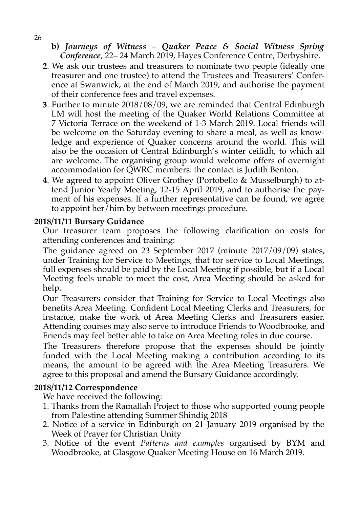**b)** *Journeys of Witness – Quaker Peace & Social Witness Spring Conference*, 22– 24 March 2019, Hayes Conference Centre, Derbyshire.

- **2**. We ask our trustees and treasurers to nominate two people (ideally one treasurer and one trustee) to attend the Trustees and Treasurers' Conference at Swanwick, at the end of March 2019, and authorise the payment of their conference fees and travel expenses.
- **3**. Further to minute 2018/08/09, we are reminded that Central Edinburgh LM will host the meeting of the Quaker World Relations Committee at 7 Victoria Terrace on the weekend of 1-3 March 2019. Local friends will be welcome on the Saturday evening to share a meal, as well as knowledge and experience of Quaker concerns around the world. This will also be the occasion of Central Edinburgh's winter ceilidh, to which all are welcome. The organising group would welcome offers of overnight accommodation for QWRC members: the contact is Judith Benton.
- **4**. We agreed to appoint Oliver Grothey (Portobello & Musselburgh) to attend Junior Yearly Meeting, 12-15 April 2019, and to authorise the payment of his expenses. If a further representative can be found, we agree to appoint her/him by between meetings procedure.

#### **2018/11/11 Bursary Guidance**

Our treasurer team proposes the following clarification on costs for attending conferences and training:

The guidance agreed on 23 September 2017 (minute 2017/09/09) states, under Training for Service to Meetings, that for service to Local Meetings, full expenses should be paid by the Local Meeting if possible, but if a Local Meeting feels unable to meet the cost, Area Meeting should be asked for help.

Our Treasurers consider that Training for Service to Local Meetings also benefits Area Meeting. Confident Local Meeting Clerks and Treasurers, for instance, make the work of Area Meeting Clerks and Treasurers easier. Attending courses may also serve to introduce Friends to Woodbrooke, and Friends may feel better able to take on Area Meeting roles in due course.

The Treasurers therefore propose that the expenses should be jointly funded with the Local Meeting making a contribution according to its means, the amount to be agreed with the Area Meeting Treasurers. We agree to this proposal and amend the Bursary Guidance accordingly.

#### **2018/11/12 Correspondence**

We have received the following:

- 1. Thanks from the Ramallah Project to those who supported young people from Palestine attending Summer Shindig 2018
- 2. Notice of a service in Edinburgh on 21 January 2019 organised by the Week of Prayer for Christian Unity
- 3. Notice of the event *Patterns and examples* organised by BYM and Woodbrooke, at Glasgow Quaker Meeting House on 16 March 2019.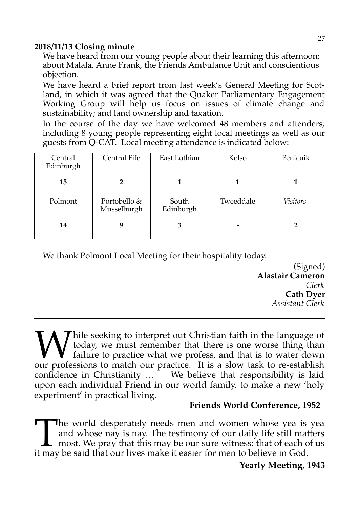### **2018/11/13 Closing minute**

We have heard from our young people about their learning this afternoon: about Malala, Anne Frank, the Friends Ambulance Unit and conscientious objection.

We have heard a brief report from last week's General Meeting for Scotland, in which it was agreed that the Quaker Parliamentary Engagement Working Group will help us focus on issues of climate change and sustainability; and land ownership and taxation.

In the course of the day we have welcomed 48 members and attenders, including 8 young people representing eight local meetings as well as our guests from Q-CAT. Local meeting attendance is indicated below:

| Central<br>Edinburgh | Central Fife                | East Lothian       | Kelso     | Penicuik |
|----------------------|-----------------------------|--------------------|-----------|----------|
| 15                   |                             |                    |           |          |
| Polmont              | Portobello &<br>Musselburgh | South<br>Edinburgh | Tweeddale | Visitors |
| 14                   | 9                           | 3                  |           |          |

We thank Polmont Local Meeting for their hospitality today.

(Signed) **Alastair Cameron** *Clerk* **Cath Dyer** *Assistant Clerk*

hile seeking to interpret out Christian faith in the language of today, we must remember that there is one worse thing than failure to practice what we profess, and that is to water down **W** hile seeking to interpret out Christian faith in the language of today, we must remember that there is one worse thing than failure to practice what we profess, and that is to water down our professions to match our pr confidence in Christianity ... We believe that responsibility is laid upon each individual Friend in our world family, to make a new 'holy experiment' in practical living.

### **Friends World Conference, 1952**

he world desperately needs men and women whose yea is yea and whose nay is nay. The testimony of our daily life still matters most. We pray that this may be our sure witness: that of each of us The world desperately needs men and women whose yea is and whose nay is nay. The testimony of our daily life still matt most. We pray that this may be our sure witness: that of each of it may be said that our lives make it